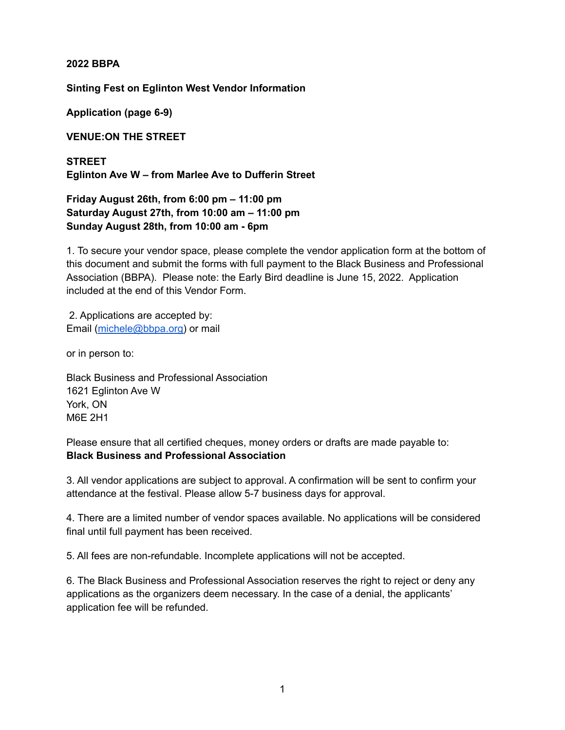**2022 BBPA**

**Sinting Fest on Eglinton West Vendor Information**

**Application (page 6-9)**

**VENUE:ON THE STREET**

**STREET Eglinton Ave W – from Marlee Ave to Dufferin Street**

**Friday August 26th, from 6:00 pm – 11:00 pm Saturday August 27th, from 10:00 am – 11:00 pm Sunday August 28th, from 10:00 am - 6pm**

1. To secure your vendor space, please complete the vendor application form at the bottom of this document and submit the forms with full payment to the Black Business and Professional Association (BBPA). Please note: the Early Bird deadline is June 15, 2022. Application included at the end of this Vendor Form.

2. Applications are accepted by: Email [\(michele@bbpa.org\)](mailto:michele@bbpa.org) or mail

or in person to:

Black Business and Professional Association 1621 Eglinton Ave W York, ON M6E 2H1

Please ensure that all certified cheques, money orders or drafts are made payable to: **Black Business and Professional Association**

3. All vendor applications are subject to approval. A confirmation will be sent to confirm your attendance at the festival. Please allow 5-7 business days for approval.

4. There are a limited number of vendor spaces available. No applications will be considered final until full payment has been received.

5. All fees are non-refundable. Incomplete applications will not be accepted.

6. The Black Business and Professional Association reserves the right to reject or deny any applications as the organizers deem necessary. In the case of a denial, the applicants' application fee will be refunded.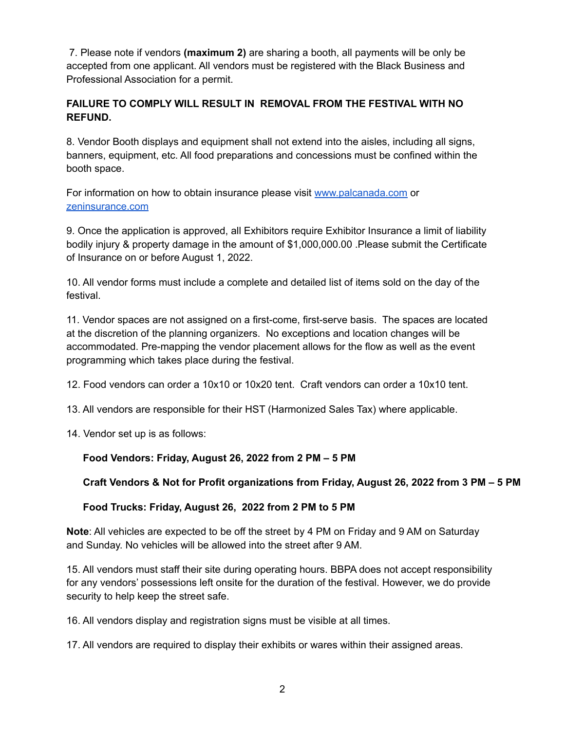7. Please note if vendors **(maximum 2)** are sharing a booth, all payments will be only be accepted from one applicant. All vendors must be registered with the Black Business and Professional Association for a permit.

## **FAILURE TO COMPLY WILL RESULT IN REMOVAL FROM THE FESTIVAL WITH NO REFUND.**

8. Vendor Booth displays and equipment shall not extend into the aisles, including all signs, banners, equipment, etc. All food preparations and concessions must be confined within the booth space.

For information on how to obtain insurance please visit [www.palcanada.com](http://www.palcanada.com/) or [zeninsurance.com](https://www.zensurance.com/?utm_source=google&utm_medium=&utm_campaign=&utm_term=zeninsurance&utm_content=590103401438&gclid=Cj0KCQjwyMiTBhDKARIsAAJ-9VvODotmpqBtpfxmwMRuOBg7d3PXhomJth9JBsYEQCpIa0Xqqy6A0r4aAqlZEALw_wcB)

9. Once the application is approved, all Exhibitors require Exhibitor Insurance a limit of liability bodily injury & property damage in the amount of \$1,000,000.00 .Please submit the Certificate of Insurance on or before August 1, 2022.

10. All vendor forms must include a complete and detailed list of items sold on the day of the festival.

11. Vendor spaces are not assigned on a first-come, first-serve basis. The spaces are located at the discretion of the planning organizers. No exceptions and location changes will be accommodated. Pre-mapping the vendor placement allows for the flow as well as the event programming which takes place during the festival.

12. Food vendors can order a 10x10 or 10x20 tent. Craft vendors can order a 10x10 tent.

13. All vendors are responsible for their HST (Harmonized Sales Tax) where applicable.

14. Vendor set up is as follows:

## **Food Vendors: Friday, August 26, 2022 from 2 PM – 5 PM**

## **Craft Vendors & Not for Profit organizations from Friday, August 26, 2022 from 3 PM – 5 PM**

## **Food Trucks: Friday, August 26, 2022 from 2 PM to 5 PM**

**Note**: All vehicles are expected to be off the street by 4 PM on Friday and 9 AM on Saturday and Sunday. No vehicles will be allowed into the street after 9 AM.

15. All vendors must staff their site during operating hours. BBPA does not accept responsibility for any vendors' possessions left onsite for the duration of the festival. However, we do provide security to help keep the street safe.

16. All vendors display and registration signs must be visible at all times.

17. All vendors are required to display their exhibits or wares within their assigned areas.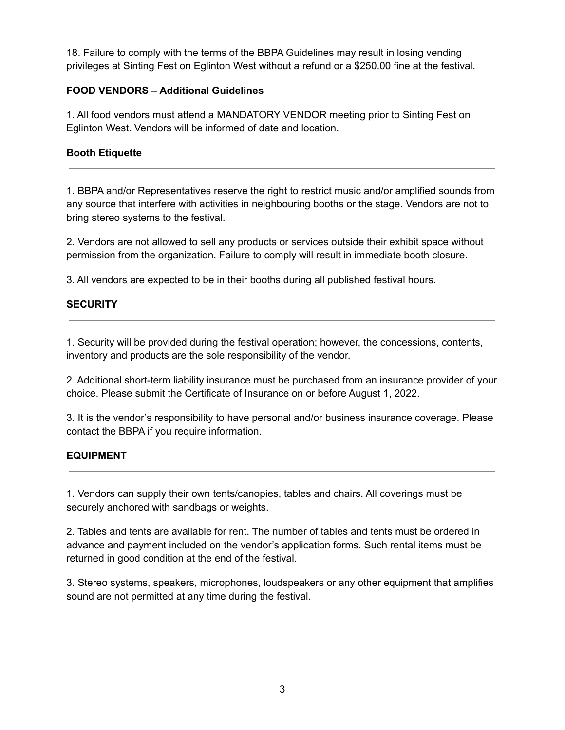18. Failure to comply with the terms of the BBPA Guidelines may result in losing vending privileges at Sinting Fest on Eglinton West without a refund or a \$250.00 fine at the festival.

## **FOOD VENDORS – Additional Guidelines**

1. All food vendors must attend a MANDATORY VENDOR meeting prior to Sinting Fest on Eglinton West. Vendors will be informed of date and location.

### **Booth Etiquette**

1. BBPA and/or Representatives reserve the right to restrict music and/or amplified sounds from any source that interfere with activities in neighbouring booths or the stage. Vendors are not to bring stereo systems to the festival.

2. Vendors are not allowed to sell any products or services outside their exhibit space without permission from the organization. Failure to comply will result in immediate booth closure.

3. All vendors are expected to be in their booths during all published festival hours.

## **SECURITY**

1. Security will be provided during the festival operation; however, the concessions, contents, inventory and products are the sole responsibility of the vendor.

2. Additional short-term liability insurance must be purchased from an insurance provider of your choice. Please submit the Certificate of Insurance on or before August 1, 2022.

3. It is the vendor's responsibility to have personal and/or business insurance coverage. Please contact the BBPA if you require information.

## **EQUIPMENT**

1. Vendors can supply their own tents/canopies, tables and chairs. All coverings must be securely anchored with sandbags or weights.

2. Tables and tents are available for rent. The number of tables and tents must be ordered in advance and payment included on the vendor's application forms. Such rental items must be returned in good condition at the end of the festival.

3. Stereo systems, speakers, microphones, loudspeakers or any other equipment that amplifies sound are not permitted at any time during the festival.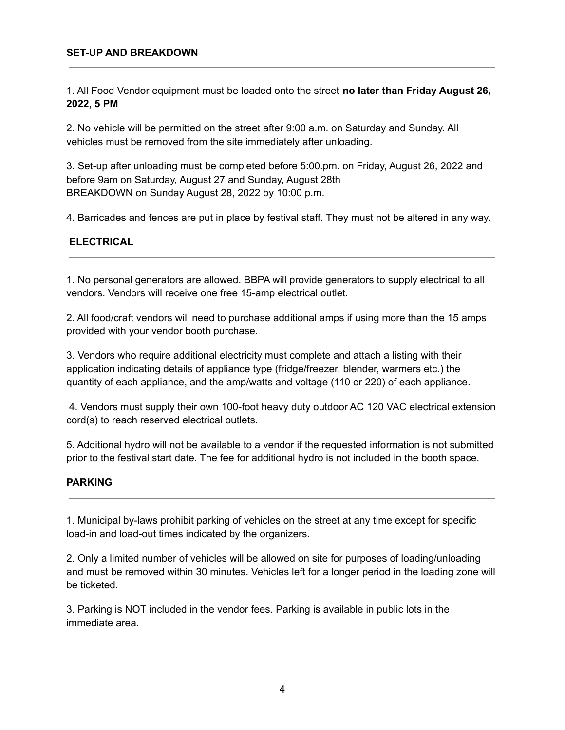#### **SET-UP AND BREAKDOWN**

1. All Food Vendor equipment must be loaded onto the street **no later than Friday August 26, 2022, 5 PM**

2. No vehicle will be permitted on the street after 9:00 a.m. on Saturday and Sunday. All vehicles must be removed from the site immediately after unloading.

3. Set-up after unloading must be completed before 5:00.pm. on Friday, August 26, 2022 and before 9am on Saturday, August 27 and Sunday, August 28th BREAKDOWN on Sunday August 28, 2022 by 10:00 p.m.

4. Barricades and fences are put in place by festival staff. They must not be altered in any way.

#### **ELECTRICAL**

1. No personal generators are allowed. BBPA will provide generators to supply electrical to all vendors. Vendors will receive one free 15-amp electrical outlet.

2. All food/craft vendors will need to purchase additional amps if using more than the 15 amps provided with your vendor booth purchase.

3. Vendors who require additional electricity must complete and attach a listing with their application indicating details of appliance type (fridge/freezer, blender, warmers etc.) the quantity of each appliance, and the amp/watts and voltage (110 or 220) of each appliance.

4. Vendors must supply their own 100-foot heavy duty outdoor AC 120 VAC electrical extension cord(s) to reach reserved electrical outlets.

5. Additional hydro will not be available to a vendor if the requested information is not submitted prior to the festival start date. The fee for additional hydro is not included in the booth space.

#### **PARKING**

1. Municipal by-laws prohibit parking of vehicles on the street at any time except for specific load-in and load-out times indicated by the organizers.

2. Only a limited number of vehicles will be allowed on site for purposes of loading/unloading and must be removed within 30 minutes. Vehicles left for a longer period in the loading zone will be ticketed.

3. Parking is NOT included in the vendor fees. Parking is available in public lots in the immediate area.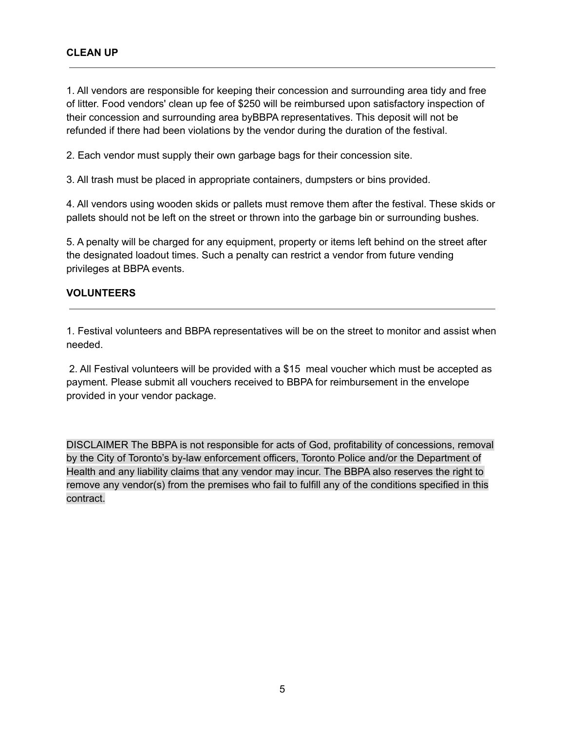1. All vendors are responsible for keeping their concession and surrounding area tidy and free of litter. Food vendors' clean up fee of \$250 will be reimbursed upon satisfactory inspection of their concession and surrounding area byBBPA representatives. This deposit will not be refunded if there had been violations by the vendor during the duration of the festival.

2. Each vendor must supply their own garbage bags for their concession site.

3. All trash must be placed in appropriate containers, dumpsters or bins provided.

4. All vendors using wooden skids or pallets must remove them after the festival. These skids or pallets should not be left on the street or thrown into the garbage bin or surrounding bushes.

5. A penalty will be charged for any equipment, property or items left behind on the street after the designated loadout times. Such a penalty can restrict a vendor from future vending privileges at BBPA events.

#### **VOLUNTEERS**

1. Festival volunteers and BBPA representatives will be on the street to monitor and assist when needed.

2. All Festival volunteers will be provided with a \$15 meal voucher which must be accepted as payment. Please submit all vouchers received to BBPA for reimbursement in the envelope provided in your vendor package.

DISCLAIMER The BBPA is not responsible for acts of God, profitability of concessions, removal by the City of Toronto's by-law enforcement officers, Toronto Police and/or the Department of Health and any liability claims that any vendor may incur. The BBPA also reserves the right to remove any vendor(s) from the premises who fail to fulfill any of the conditions specified in this contract.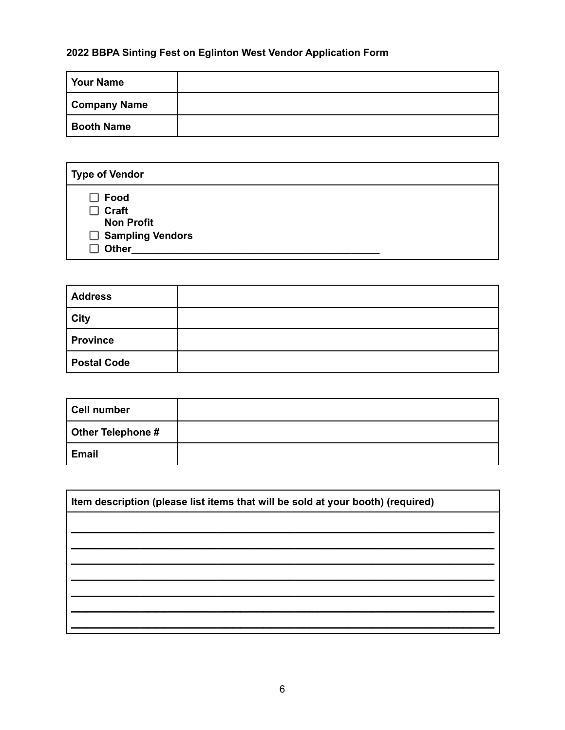## **2022 BBPA Sinting Fest on Eglinton West Vendor Application Form**

| Your Name           |  |
|---------------------|--|
| <b>Company Name</b> |  |
| <b>Booth Name</b>   |  |

| <b>Type of Vendor</b>                                                                  |  |
|----------------------------------------------------------------------------------------|--|
| $\Box$ Food<br>$\Box$ Craft<br><b>Non Profit</b><br>□ Sampling Vendors<br><b>Other</b> |  |

| <b>Address</b>     |  |
|--------------------|--|
| <b>City</b>        |  |
| <b>Province</b>    |  |
| <b>Postal Code</b> |  |

| Cell number              |  |
|--------------------------|--|
| <b>Other Telephone #</b> |  |
| Email                    |  |

| Item description (please list items that will be sold at your booth) (required) |  |  |  |
|---------------------------------------------------------------------------------|--|--|--|
|                                                                                 |  |  |  |
|                                                                                 |  |  |  |
|                                                                                 |  |  |  |
|                                                                                 |  |  |  |
|                                                                                 |  |  |  |
|                                                                                 |  |  |  |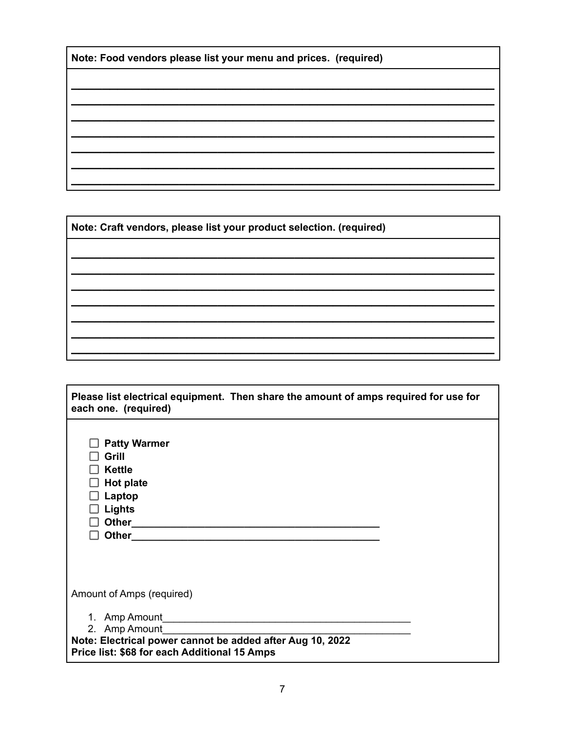Note: Craft vendors, please list your product selection. (required)

| Please list electrical equipment. Then share the amount of amps required for use for<br>each one. (required)                                                                                                       |  |
|--------------------------------------------------------------------------------------------------------------------------------------------------------------------------------------------------------------------|--|
| <b>Patty Warmer</b><br>Grill<br><b>Kettle</b><br><b>Hot plate</b><br>Laptop<br>Lights<br>Other <sub>11</sub><br>Other <sub>___</sub><br>the control of the control of the control of the control of the control of |  |
| Amount of Amps (required)<br>2. Amp Amount<br>Note: Electrical power cannot be added after Aug 10, 2022<br>Price list: \$68 for each Additional 15 Amps                                                            |  |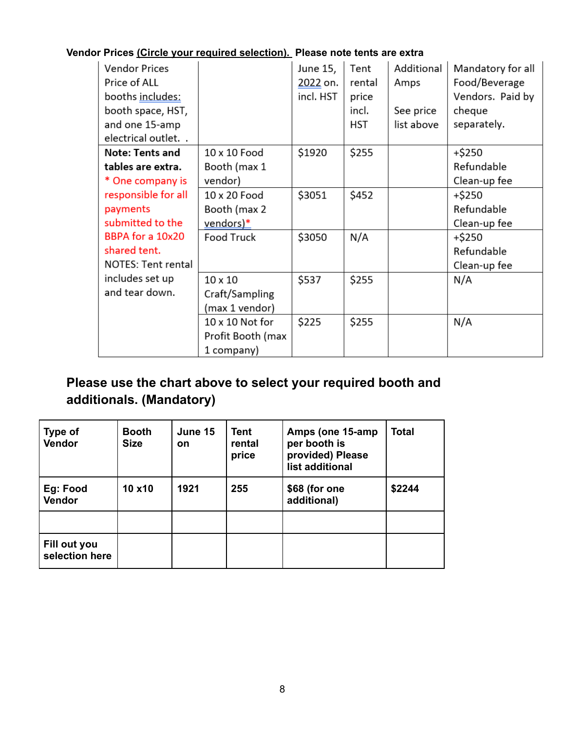## **Vendor Prices (Circle your required selection). Please note tents are extra**

| <b>Vendor Prices</b><br>Price of ALL<br>booths includes:<br>booth space, HST,<br>and one 15-amp<br>electrical outlet. . |                   | June 15,<br>2022 on.<br>incl. HST | Tent<br>rental<br>price<br>incl.<br><b>HST</b> | Additional<br>Amps<br>See price<br>list above | Mandatory for all<br>Food/Beverage<br>Vendors. Paid by<br>cheque<br>separately. |
|-------------------------------------------------------------------------------------------------------------------------|-------------------|-----------------------------------|------------------------------------------------|-----------------------------------------------|---------------------------------------------------------------------------------|
| <b>Note: Tents and</b>                                                                                                  | 10 x 10 Food      | \$1920                            | \$255                                          |                                               | +\$250                                                                          |
| tables are extra.                                                                                                       | Booth (max 1      |                                   |                                                |                                               | Refundable                                                                      |
| * One company is                                                                                                        | vendor)           |                                   |                                                |                                               | Clean-up fee                                                                    |
| responsible for all                                                                                                     | 10 x 20 Food      | \$3051                            | \$452                                          |                                               | +\$250                                                                          |
| payments                                                                                                                | Booth (max 2      |                                   |                                                |                                               | Refundable                                                                      |
| submitted to the                                                                                                        | vendors)*         |                                   |                                                |                                               | Clean-up fee                                                                    |
| BBPA for a 10x20                                                                                                        | <b>Food Truck</b> | \$3050                            | N/A                                            |                                               | +\$250                                                                          |
| shared tent.                                                                                                            |                   |                                   |                                                |                                               | Refundable                                                                      |
| <b>NOTES: Tent rental</b>                                                                                               |                   |                                   |                                                |                                               | Clean-up fee                                                                    |
| includes set up                                                                                                         | $10 \times 10$    | \$537                             | \$255                                          |                                               | N/A                                                                             |
| and tear down.                                                                                                          | Craft/Sampling    |                                   |                                                |                                               |                                                                                 |
|                                                                                                                         | (max 1 vendor)    |                                   |                                                |                                               |                                                                                 |
|                                                                                                                         | 10 x 10 Not for   | \$225                             | \$255                                          |                                               | N/A                                                                             |
|                                                                                                                         | Profit Booth (max |                                   |                                                |                                               |                                                                                 |
|                                                                                                                         | 1 company)        |                                   |                                                |                                               |                                                                                 |

# **Please use the chart above to select your required booth and additionals. (Mandatory)**

| Type of<br><b>Vendor</b>       | <b>Booth</b><br><b>Size</b> | June 15<br>on | Tent<br>rental<br>price | Amps (one 15-amp)<br>per booth is<br>provided) Please<br>list additional | <b>Total</b> |
|--------------------------------|-----------------------------|---------------|-------------------------|--------------------------------------------------------------------------|--------------|
| Eg: Food<br><b>Vendor</b>      | 10 x10                      | 1921          | 255                     | \$68 (for one<br>additional)                                             | \$2244       |
|                                |                             |               |                         |                                                                          |              |
| Fill out you<br>selection here |                             |               |                         |                                                                          |              |